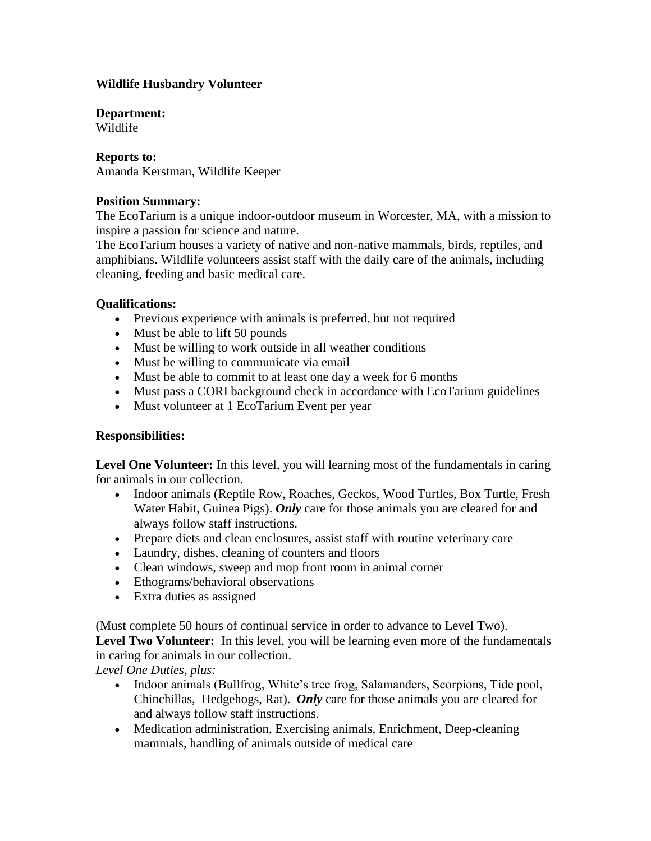# **Wildlife Husbandry Volunteer**

## **Department:**

Wildlife

# **Reports to:**

Amanda Kerstman, Wildlife Keeper

### **Position Summary:**

The EcoTarium is a unique indoor-outdoor museum in Worcester, MA, with a mission to inspire a passion for science and nature.

The EcoTarium houses a variety of native and non-native mammals, birds, reptiles, and amphibians. Wildlife volunteers assist staff with the daily care of the animals, including cleaning, feeding and basic medical care.

## **Qualifications:**

- Previous experience with animals is preferred, but not required
- Must be able to lift 50 pounds
- Must be willing to work outside in all weather conditions
- Must be willing to communicate via email
- Must be able to commit to at least one day a week for 6 months
- Must pass a CORI background check in accordance with EcoTarium guidelines
- Must volunteer at 1 EcoTarium Event per year

#### **Responsibilities:**

**Level One Volunteer:** In this level, you will learning most of the fundamentals in caring for animals in our collection.

- Indoor animals (Reptile Row, Roaches, Geckos, Wood Turtles, Box Turtle, Fresh Water Habit, Guinea Pigs). *Only* care for those animals you are cleared for and always follow staff instructions.
- Prepare diets and clean enclosures, assist staff with routine veterinary care
- Laundry, dishes, cleaning of counters and floors
- Clean windows, sweep and mop front room in animal corner
- Ethograms/behavioral observations
- Extra duties as assigned

(Must complete 50 hours of continual service in order to advance to Level Two).

**Level Two Volunteer:** In this level, you will be learning even more of the fundamentals in caring for animals in our collection.

*Level One Duties, plus:*

- Indoor animals (Bullfrog, White's tree frog, Salamanders, Scorpions, Tide pool, Chinchillas, Hedgehogs, Rat). *Only* care for those animals you are cleared for and always follow staff instructions.
- Medication administration, Exercising animals, Enrichment, Deep-cleaning mammals, handling of animals outside of medical care